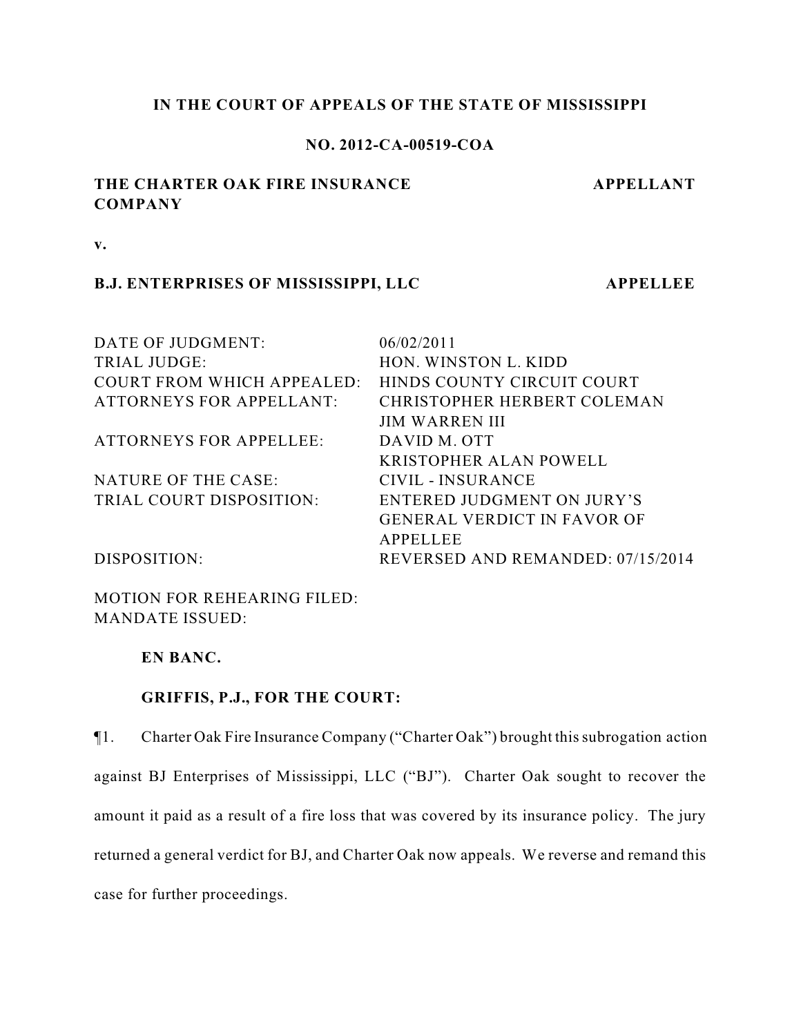# **IN THE COURT OF APPEALS OF THE STATE OF MISSISSIPPI**

# **NO. 2012-CA-00519-COA**

# **THE CHARTER OAK FIRE INSURANCE COMPANY**

 **APPELLANT**

**v.**

# **B.J. ENTERPRISES OF MISSISSIPPI, LLC APPELLEE**

DATE OF JUDGMENT: 06/02/2011 TRIAL JUDGE: HON. WINSTON L. KIDD COURT FROM WHICH APPEALED: HINDS COUNTY CIRCUIT COURT ATTORNEYS FOR APPELLANT: CHRISTOPHER HERBERT COLEMAN JIM WARREN III ATTORNEYS FOR APPELLEE: DAVID M. OTT KRISTOPHER ALAN POWELL NATURE OF THE CASE: CIVIL - INSURANCE TRIAL COURT DISPOSITION: ENTERED JUDGMENT ON JURY'S GENERAL VERDICT IN FAVOR OF APPELLEE DISPOSITION: REVERSED AND REMANDED: 07/15/2014

MOTION FOR REHEARING FILED: MANDATE ISSUED:

**EN BANC.**

# **GRIFFIS, P.J., FOR THE COURT:**

¶1. Charter Oak Fire Insurance Company ("Charter Oak") brought this subrogation action against BJ Enterprises of Mississippi, LLC ("BJ"). Charter Oak sought to recover the amount it paid as a result of a fire loss that was covered by its insurance policy. The jury returned a general verdict for BJ, and Charter Oak now appeals. We reverse and remand this case for further proceedings.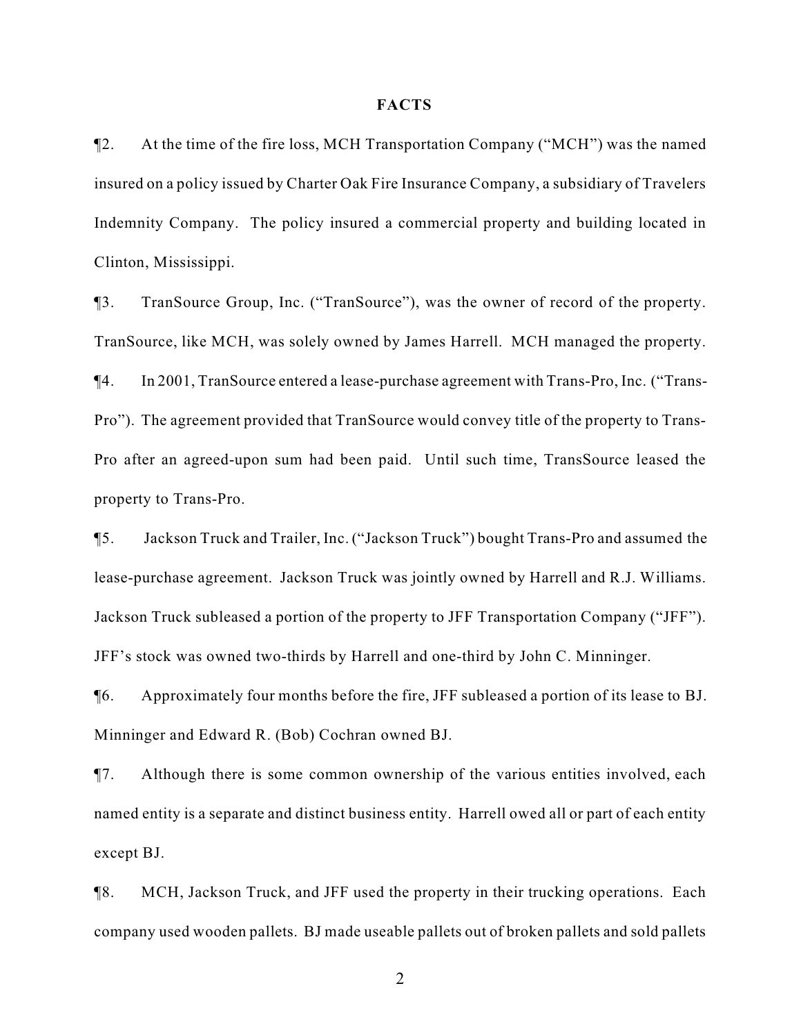#### **FACTS**

¶2. At the time of the fire loss, MCH Transportation Company ("MCH") was the named insured on a policy issued by Charter Oak Fire Insurance Company, a subsidiary of Travelers Indemnity Company. The policy insured a commercial property and building located in Clinton, Mississippi.

¶3. TranSource Group, Inc. ("TranSource"), was the owner of record of the property. TranSource, like MCH, was solely owned by James Harrell. MCH managed the property. ¶4. In 2001, TranSource entered a lease-purchase agreement with Trans-Pro, Inc. ("Trans-Pro"). The agreement provided that TranSource would convey title of the property to Trans-Pro after an agreed-upon sum had been paid. Until such time, TransSource leased the property to Trans-Pro.

¶5. Jackson Truck and Trailer, Inc. ("Jackson Truck") bought Trans-Pro and assumed the lease-purchase agreement. Jackson Truck was jointly owned by Harrell and R.J. Williams. Jackson Truck subleased a portion of the property to JFF Transportation Company ("JFF"). JFF's stock was owned two-thirds by Harrell and one-third by John C. Minninger.

¶6. Approximately four months before the fire, JFF subleased a portion of its lease to BJ. Minninger and Edward R. (Bob) Cochran owned BJ.

¶7. Although there is some common ownership of the various entities involved, each named entity is a separate and distinct business entity. Harrell owed all or part of each entity except BJ.

¶8. MCH, Jackson Truck, and JFF used the property in their trucking operations. Each company used wooden pallets. BJ made useable pallets out of broken pallets and sold pallets

2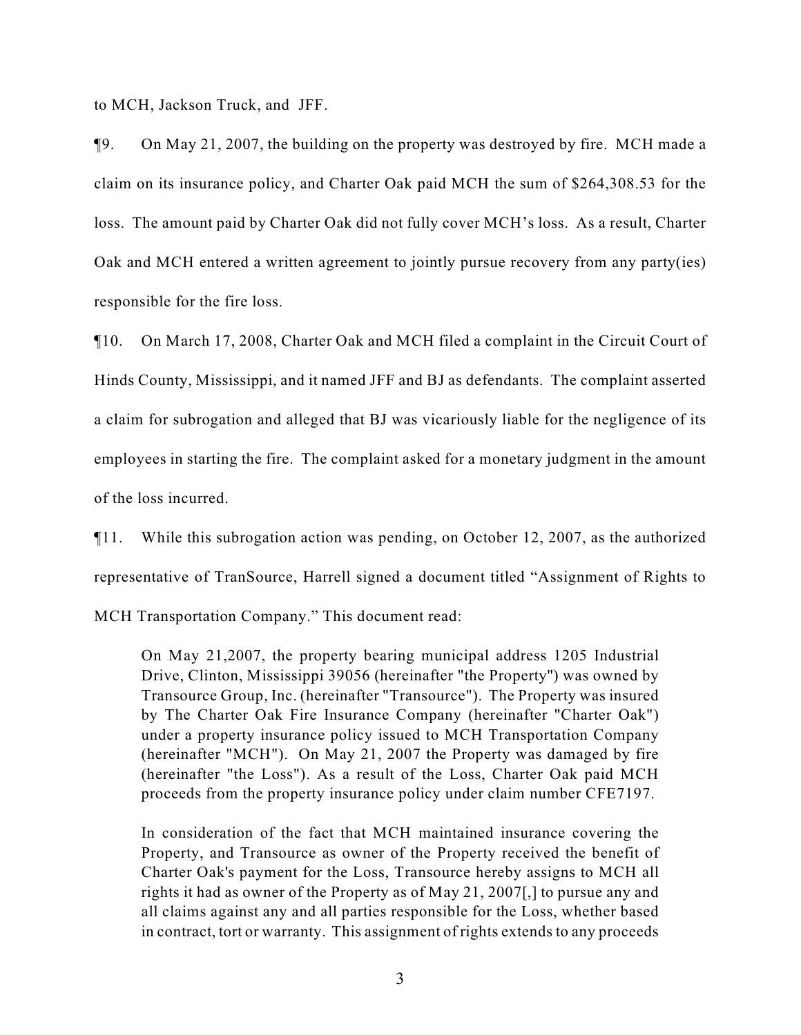to MCH, Jackson Truck, and JFF.

¶9. On May 21, 2007, the building on the property was destroyed by fire. MCH made a claim on its insurance policy, and Charter Oak paid MCH the sum of \$264,308.53 for the loss. The amount paid by Charter Oak did not fully cover MCH's loss. As a result, Charter Oak and MCH entered a written agreement to jointly pursue recovery from any party(ies) responsible for the fire loss.

¶10. On March 17, 2008, Charter Oak and MCH filed a complaint in the Circuit Court of Hinds County, Mississippi, and it named JFF and BJ as defendants. The complaint asserted a claim for subrogation and alleged that BJ was vicariously liable for the negligence of its employees in starting the fire. The complaint asked for a monetary judgment in the amount of the loss incurred.

¶11. While this subrogation action was pending, on October 12, 2007, as the authorized representative of TranSource, Harrell signed a document titled "Assignment of Rights to MCH Transportation Company." This document read:

On May 21,2007, the property bearing municipal address 1205 Industrial Drive, Clinton, Mississippi 39056 (hereinafter "the Property'') was owned by Transource Group, Inc. (hereinafter "Transource"). The Property was insured by The Charter Oak Fire Insurance Company (hereinafter "Charter Oak") under a property insurance policy issued to MCH Transportation Company (hereinafter "MCH"). On May 21, 2007 the Property was damaged by fire (hereinafter "the Loss"). As a result of the Loss, Charter Oak paid MCH proceeds from the property insurance policy under claim number CFE7197.

In consideration of the fact that MCH maintained insurance covering the Property, and Transource as owner of the Property received the benefit of Charter Oak's payment for the Loss, Transource hereby assigns to MCH all rights it had as owner of the Property as of May 21, 2007[,] to pursue any and all claims against any and all parties responsible for the Loss, whether based in contract, tort or warranty. This assignment of rights extends to any proceeds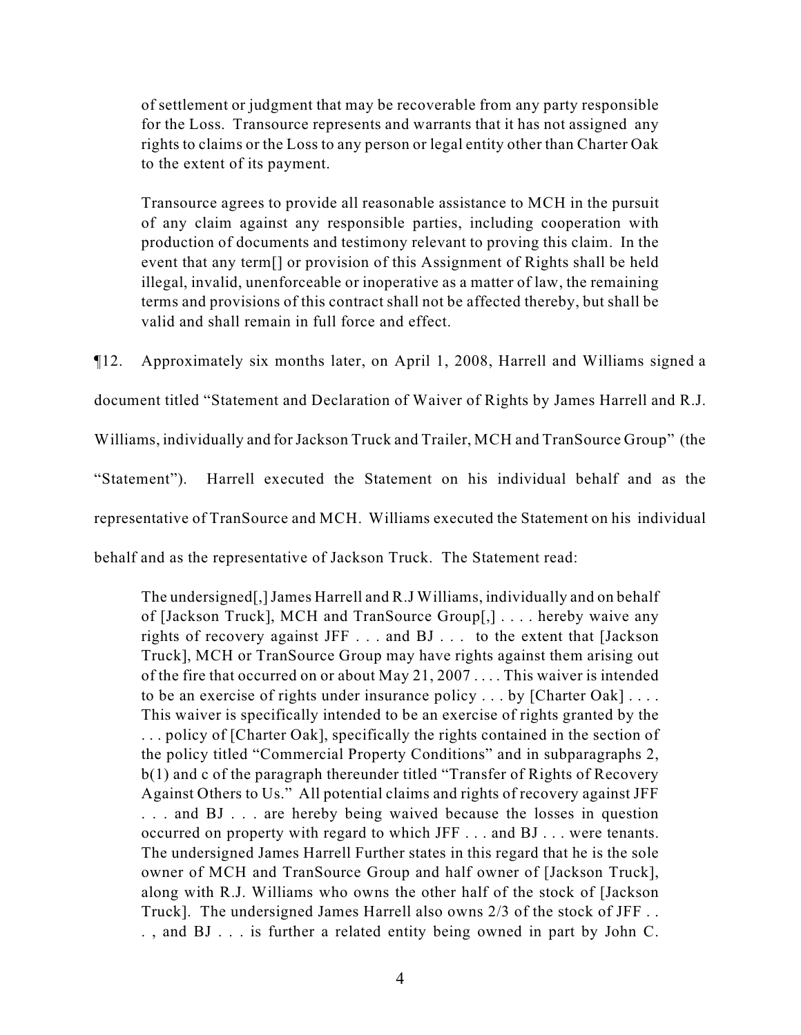of settlement or judgment that may be recoverable from any party responsible for the Loss. Transource represents and warrants that it has not assigned any rights to claims or the Loss to any person or legal entity other than Charter Oak to the extent of its payment.

Transource agrees to provide all reasonable assistance to MCH in the pursuit of any claim against any responsible parties, including cooperation with production of documents and testimony relevant to proving this claim. In the event that any term[] or provision of this Assignment of Rights shall be held illegal, invalid, unenforceable or inoperative as a matter of law, the remaining terms and provisions of this contract shall not be affected thereby, but shall be valid and shall remain in full force and effect.

¶12. Approximately six months later, on April 1, 2008, Harrell and Williams signed a document titled "Statement and Declaration of Waiver of Rights by James Harrell and R.J. Williams, individually and for Jackson Truck and Trailer, MCH and TranSource Group" (the "Statement"). Harrell executed the Statement on his individual behalf and as the representative of TranSource and MCH. Williams executed the Statement on his individual behalf and as the representative of Jackson Truck. The Statement read:

The undersigned[,] James Harrell and R.J Williams, individually and on behalf of [Jackson Truck], MCH and TranSource Group[,] . . . . hereby waive any rights of recovery against JFF . . . and BJ . . . to the extent that [Jackson Truck], MCH or TranSource Group may have rights against them arising out of the fire that occurred on or about May 21, 2007 . . . . This waiver is intended to be an exercise of rights under insurance policy . . . by [Charter Oak] . . . . This waiver is specifically intended to be an exercise of rights granted by the . . . policy of [Charter Oak], specifically the rights contained in the section of the policy titled "Commercial Property Conditions" and in subparagraphs 2, b(1) and c of the paragraph thereunder titled "Transfer of Rights of Recovery Against Others to Us." All potential claims and rights of recovery against JFF . . . and BJ . . . are hereby being waived because the losses in question occurred on property with regard to which JFF . . . and BJ . . . were tenants. The undersigned James Harrell Further states in this regard that he is the sole owner of MCH and TranSource Group and half owner of [Jackson Truck], along with R.J. Williams who owns the other half of the stock of [Jackson Truck]. The undersigned James Harrell also owns 2/3 of the stock of JFF . . . , and BJ . . . is further a related entity being owned in part by John C.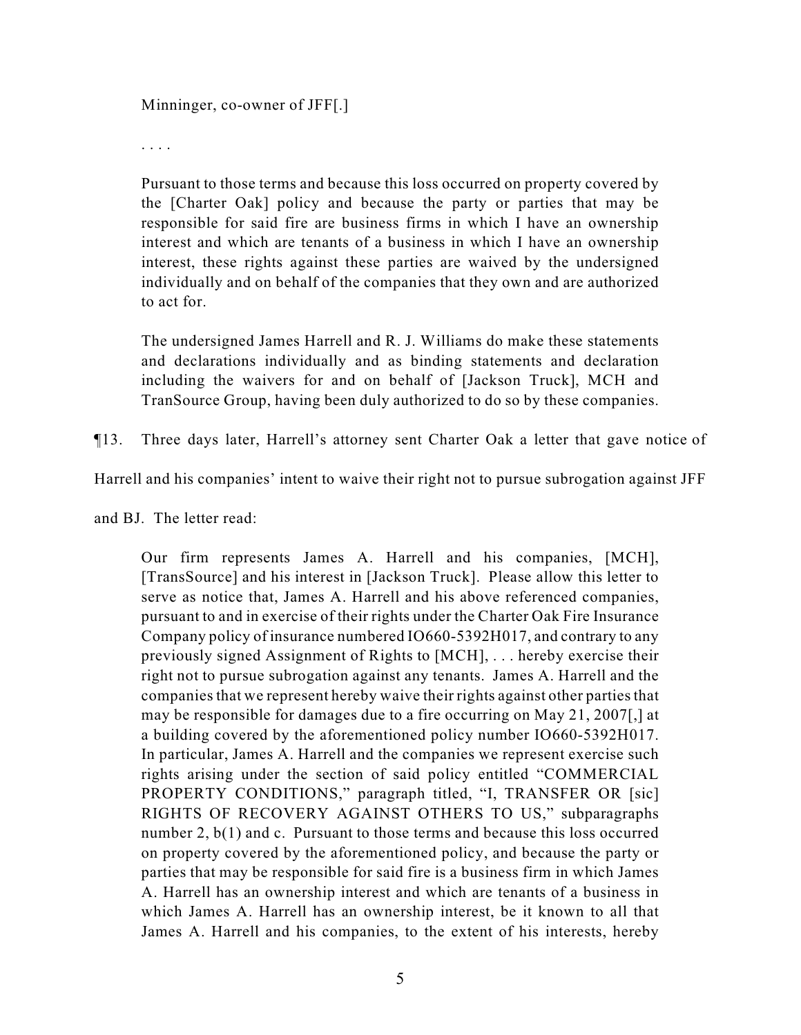Minninger, co-owner of JFF[.]

. . . .

Pursuant to those terms and because this loss occurred on property covered by the [Charter Oak] policy and because the party or parties that may be responsible for said fire are business firms in which I have an ownership interest and which are tenants of a business in which I have an ownership interest, these rights against these parties are waived by the undersigned individually and on behalf of the companies that they own and are authorized to act for.

The undersigned James Harrell and R. J. Williams do make these statements and declarations individually and as binding statements and declaration including the waivers for and on behalf of [Jackson Truck], MCH and TranSource Group, having been duly authorized to do so by these companies.

¶13. Three days later, Harrell's attorney sent Charter Oak a letter that gave notice of

Harrell and his companies' intent to waive their right not to pursue subrogation against JFF

and BJ. The letter read:

Our firm represents James A. Harrell and his companies, [MCH], [TransSource] and his interest in [Jackson Truck]. Please allow this letter to serve as notice that, James A. Harrell and his above referenced companies, pursuant to and in exercise of their rights under the Charter Oak Fire Insurance Company policy of insurance numbered IO660-5392H017, and contrary to any previously signed Assignment of Rights to [MCH], . . . hereby exercise their right not to pursue subrogation against any tenants. James A. Harrell and the companies that we represent hereby waive their rights against other parties that may be responsible for damages due to a fire occurring on May 21, 2007[,] at a building covered by the aforementioned policy number IO660-5392H017. In particular, James A. Harrell and the companies we represent exercise such rights arising under the section of said policy entitled "COMMERCIAL PROPERTY CONDITIONS," paragraph titled, "I, TRANSFER OR [sic] RIGHTS OF RECOVERY AGAINST OTHERS TO US," subparagraphs number 2, b(1) and c. Pursuant to those terms and because this loss occurred on property covered by the aforementioned policy, and because the party or parties that may be responsible for said fire is a business firm in which James A. Harrell has an ownership interest and which are tenants of a business in which James A. Harrell has an ownership interest, be it known to all that James A. Harrell and his companies, to the extent of his interests, hereby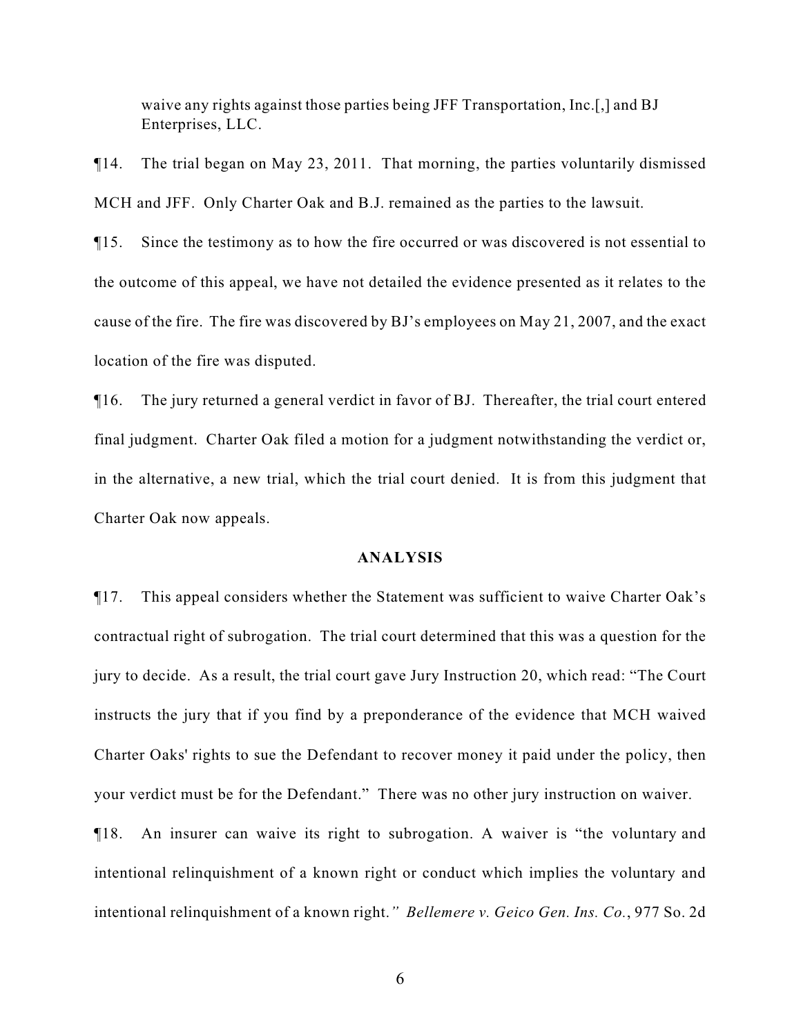waive any rights against those parties being JFF Transportation, Inc.[,] and BJ Enterprises, LLC.

¶14. The trial began on May 23, 2011. That morning, the parties voluntarily dismissed MCH and JFF. Only Charter Oak and B.J. remained as the parties to the lawsuit.

¶15. Since the testimony as to how the fire occurred or was discovered is not essential to the outcome of this appeal, we have not detailed the evidence presented as it relates to the cause of the fire. The fire was discovered by BJ's employees on May 21, 2007, and the exact location of the fire was disputed.

¶16. The jury returned a general verdict in favor of BJ. Thereafter, the trial court entered final judgment. Charter Oak filed a motion for a judgment notwithstanding the verdict or, in the alternative, a new trial, which the trial court denied. It is from this judgment that Charter Oak now appeals.

# **ANALYSIS**

¶17. This appeal considers whether the Statement was sufficient to waive Charter Oak's contractual right of subrogation. The trial court determined that this was a question for the jury to decide. As a result, the trial court gave Jury Instruction 20, which read: "The Court instructs the jury that if you find by a preponderance of the evidence that MCH waived Charter Oaks' rights to sue the Defendant to recover money it paid under the policy, then your verdict must be for the Defendant." There was no other jury instruction on waiver.

¶18. An insurer can waive its right to subrogation. A waiver is "the voluntary and intentional relinquishment of a known right or conduct which implies the voluntary and intentional relinquishment of a known right.*" Bellemere v. Geico Gen. Ins. Co.*, 977 So. 2d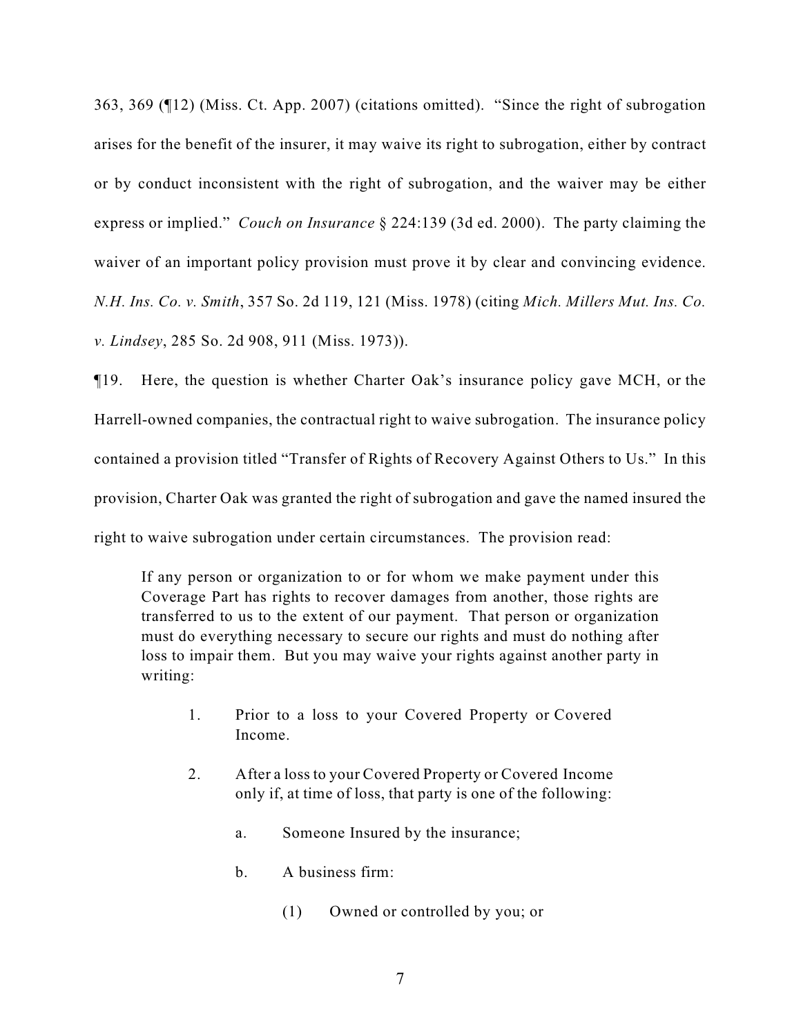363, 369 (¶12) (Miss. Ct. App. 2007) (citations omitted). "Since the right of subrogation arises for the benefit of the insurer, it may waive its right to subrogation, either by contract or by conduct inconsistent with the right of subrogation, and the waiver may be either express or implied." *Couch on Insurance* § 224:139 (3d ed. 2000). The party claiming the waiver of an important policy provision must prove it by clear and convincing evidence. *N.H. Ins. Co. v. Smith*, 357 So. 2d 119, 121 (Miss. 1978) (citing *Mich. Millers Mut. Ins. Co. v. Lindsey*, 285 So. 2d 908, 911 (Miss. 1973)).

¶19. Here, the question is whether Charter Oak's insurance policy gave MCH, or the Harrell-owned companies, the contractual right to waive subrogation. The insurance policy contained a provision titled "Transfer of Rights of Recovery Against Others to Us." In this provision, Charter Oak was granted the right of subrogation and gave the named insured the right to waive subrogation under certain circumstances. The provision read:

If any person or organization to or for whom we make payment under this Coverage Part has rights to recover damages from another, those rights are transferred to us to the extent of our payment. That person or organization must do everything necessary to secure our rights and must do nothing after loss to impair them. But you may waive your rights against another party in writing:

- 1. Prior to a loss to your Covered Property or Covered Income.
- 2. After a loss to your Covered Property or Covered Income only if, at time of loss, that party is one of the following:
	- a. Someone Insured by the insurance;
	- b. A business firm:
		- (1) Owned or controlled by you; or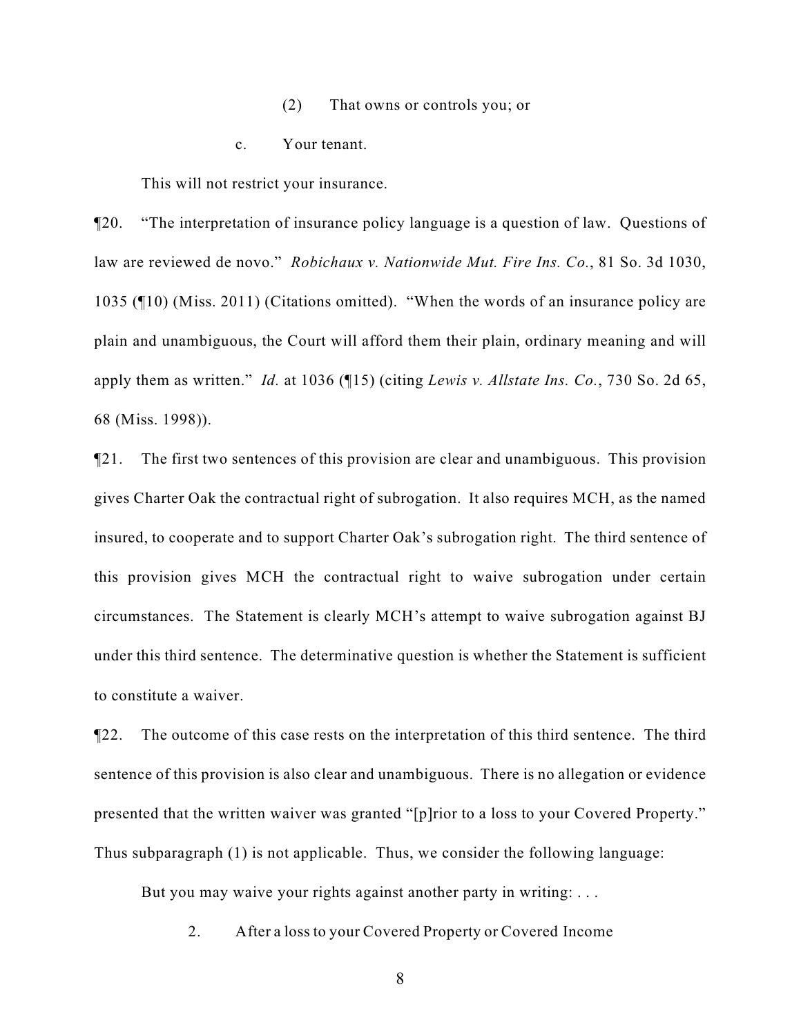- (2) That owns or controls you; or
- c. Your tenant.

This will not restrict your insurance.

¶20. "The interpretation of insurance policy language is a question of law. Questions of law are reviewed de novo." *Robichaux v. Nationwide Mut. Fire Ins. Co.*, 81 So. 3d 1030, 1035 (¶10) (Miss. 2011) (Citations omitted). "When the words of an insurance policy are plain and unambiguous, the Court will afford them their plain, ordinary meaning and will apply them as written." *Id.* at 1036 (¶15) (citing *Lewis v. Allstate Ins. Co.*, 730 So. 2d 65, 68 (Miss. 1998)).

¶21. The first two sentences of this provision are clear and unambiguous. This provision gives Charter Oak the contractual right of subrogation. It also requires MCH, as the named insured, to cooperate and to support Charter Oak's subrogation right. The third sentence of this provision gives MCH the contractual right to waive subrogation under certain circumstances. The Statement is clearly MCH's attempt to waive subrogation against BJ under this third sentence. The determinative question is whether the Statement is sufficient to constitute a waiver.

¶22. The outcome of this case rests on the interpretation of this third sentence. The third sentence of this provision is also clear and unambiguous. There is no allegation or evidence presented that the written waiver was granted "[p]rior to a loss to your Covered Property." Thus subparagraph (1) is not applicable. Thus, we consider the following language:

But you may waive your rights against another party in writing: ...

2. After a loss to your Covered Property or Covered Income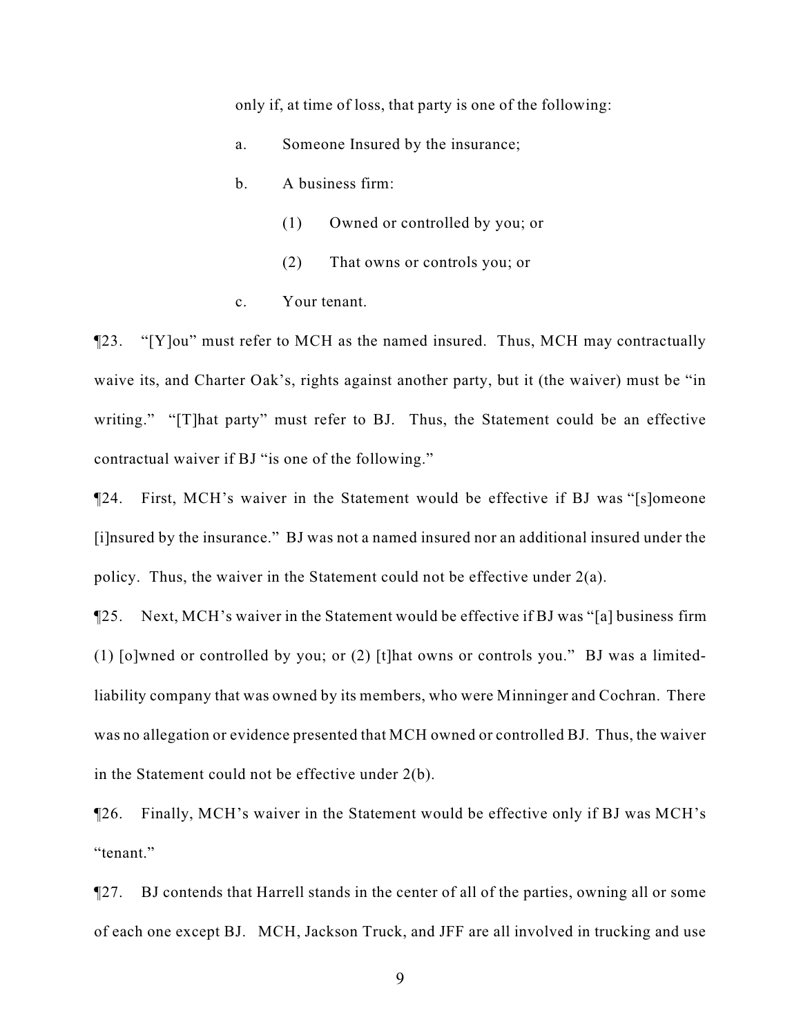only if, at time of loss, that party is one of the following:

- a. Someone Insured by the insurance;
- b. A business firm:
	- (1) Owned or controlled by you; or
	- (2) That owns or controls you; or
- c. Your tenant.

¶23. "[Y]ou" must refer to MCH as the named insured. Thus, MCH may contractually waive its, and Charter Oak's, rights against another party, but it (the waiver) must be "in writing." "[T]hat party" must refer to BJ. Thus, the Statement could be an effective contractual waiver if BJ "is one of the following."

¶24. First, MCH's waiver in the Statement would be effective if BJ was "[s]omeone [i]nsured by the insurance." BJ was not a named insured nor an additional insured under the policy. Thus, the waiver in the Statement could not be effective under 2(a).

¶25. Next, MCH's waiver in the Statement would be effective if BJ was "[a] business firm (1) [o]wned or controlled by you; or (2) [t]hat owns or controls you." BJ was a limitedliability company that was owned by its members, who were Minninger and Cochran. There was no allegation or evidence presented that MCH owned or controlled BJ. Thus, the waiver in the Statement could not be effective under 2(b).

¶26. Finally, MCH's waiver in the Statement would be effective only if BJ was MCH's "tenant."

¶27. BJ contends that Harrell stands in the center of all of the parties, owning all or some of each one except BJ. MCH, Jackson Truck, and JFF are all involved in trucking and use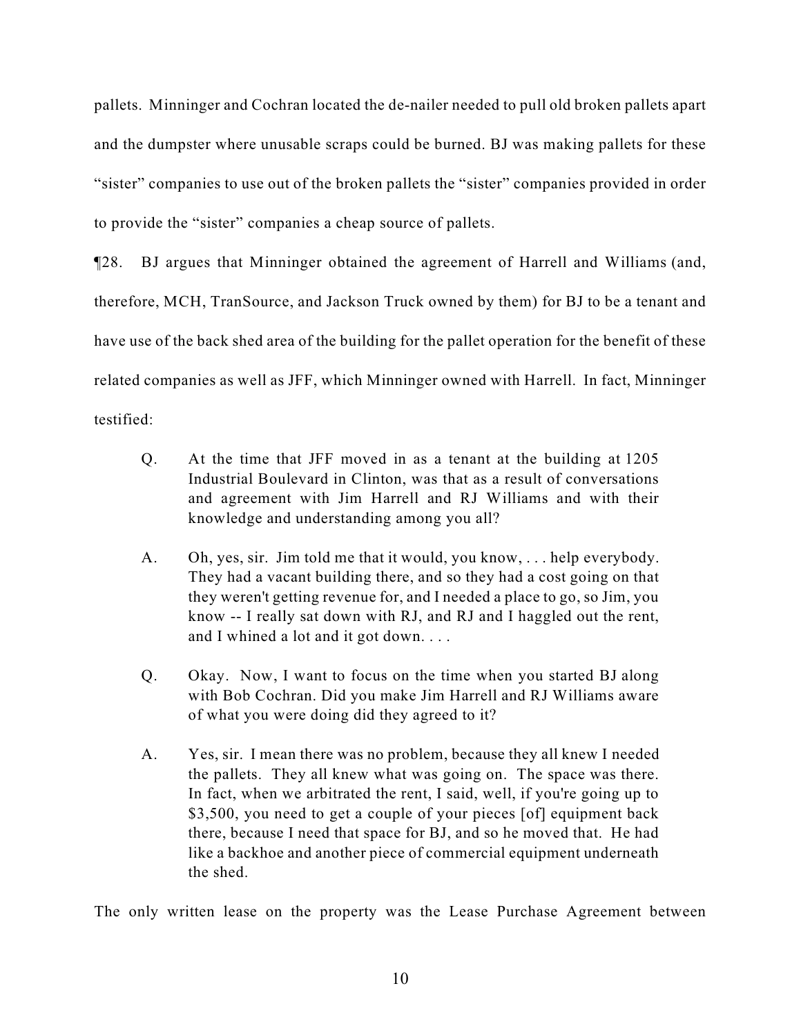pallets. Minninger and Cochran located the de-nailer needed to pull old broken pallets apart and the dumpster where unusable scraps could be burned. BJ was making pallets for these "sister" companies to use out of the broken pallets the "sister" companies provided in order to provide the "sister" companies a cheap source of pallets.

¶28. BJ argues that Minninger obtained the agreement of Harrell and Williams (and, therefore, MCH, TranSource, and Jackson Truck owned by them) for BJ to be a tenant and have use of the back shed area of the building for the pallet operation for the benefit of these related companies as well as JFF, which Minninger owned with Harrell. In fact, Minninger testified:

- Q. At the time that JFF moved in as a tenant at the building at 1205 Industrial Boulevard in Clinton, was that as a result of conversations and agreement with Jim Harrell and RJ Williams and with their knowledge and understanding among you all?
- A. Oh, yes, sir. Jim told me that it would, you know, . . . help everybody. They had a vacant building there, and so they had a cost going on that they weren't getting revenue for, and I needed a place to go, so Jim, you know -- I really sat down with RJ, and RJ and I haggled out the rent, and I whined a lot and it got down. . . .
- Q. Okay. Now, I want to focus on the time when you started BJ along with Bob Cochran. Did you make Jim Harrell and RJ Williams aware of what you were doing did they agreed to it?
- A. Yes, sir. I mean there was no problem, because they all knew I needed the pallets. They all knew what was going on. The space was there. In fact, when we arbitrated the rent, I said, well, if you're going up to \$3,500, you need to get a couple of your pieces [of] equipment back there, because I need that space for BJ, and so he moved that. He had like a backhoe and another piece of commercial equipment underneath the shed.

The only written lease on the property was the Lease Purchase Agreement between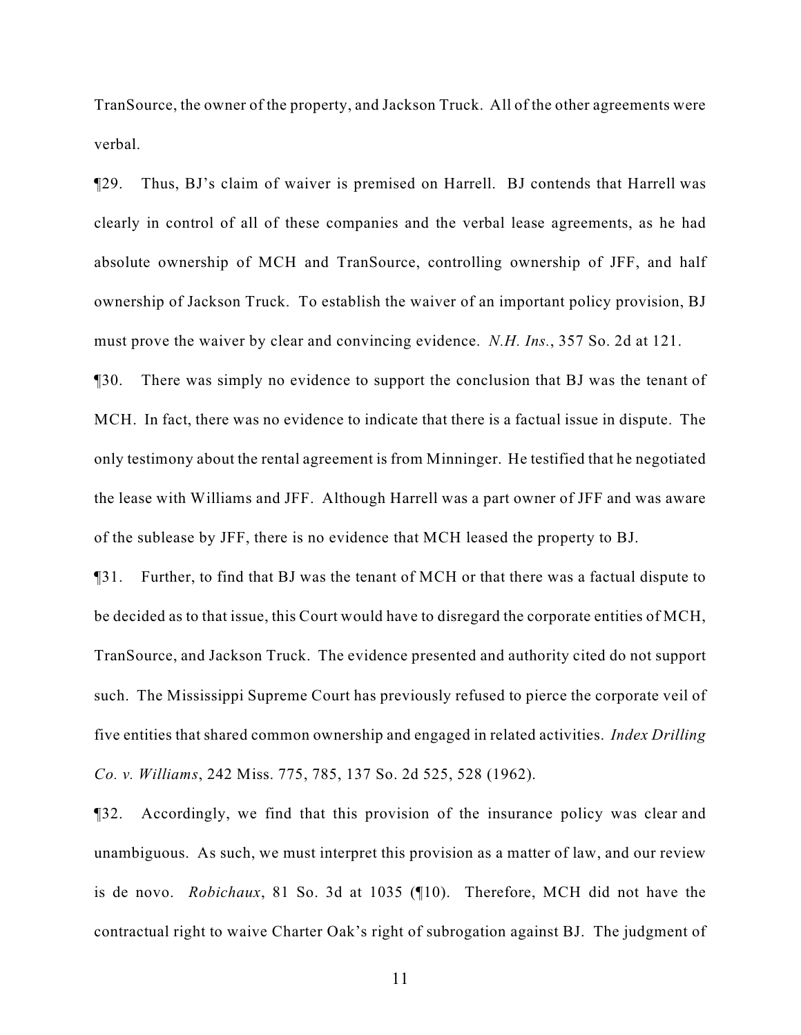TranSource, the owner of the property, and Jackson Truck. All of the other agreements were verbal.

¶29. Thus, BJ's claim of waiver is premised on Harrell. BJ contends that Harrell was clearly in control of all of these companies and the verbal lease agreements, as he had absolute ownership of MCH and TranSource, controlling ownership of JFF, and half ownership of Jackson Truck. To establish the waiver of an important policy provision, BJ must prove the waiver by clear and convincing evidence. *N.H. Ins.*, 357 So. 2d at 121.

¶30. There was simply no evidence to support the conclusion that BJ was the tenant of MCH. In fact, there was no evidence to indicate that there is a factual issue in dispute. The only testimony about the rental agreement is from Minninger. He testified that he negotiated the lease with Williams and JFF. Although Harrell was a part owner of JFF and was aware of the sublease by JFF, there is no evidence that MCH leased the property to BJ.

¶31. Further, to find that BJ was the tenant of MCH or that there was a factual dispute to be decided as to that issue, this Court would have to disregard the corporate entities of MCH, TranSource, and Jackson Truck. The evidence presented and authority cited do not support such. The Mississippi Supreme Court has previously refused to pierce the corporate veil of five entities that shared common ownership and engaged in related activities. *Index Drilling Co. v. Williams*, 242 Miss. 775, 785, 137 So. 2d 525, 528 (1962).

¶32. Accordingly, we find that this provision of the insurance policy was clear and unambiguous. As such, we must interpret this provision as a matter of law, and our review is de novo. *Robichaux*, 81 So. 3d at 1035 (¶10). Therefore, MCH did not have the contractual right to waive Charter Oak's right of subrogation against BJ. The judgment of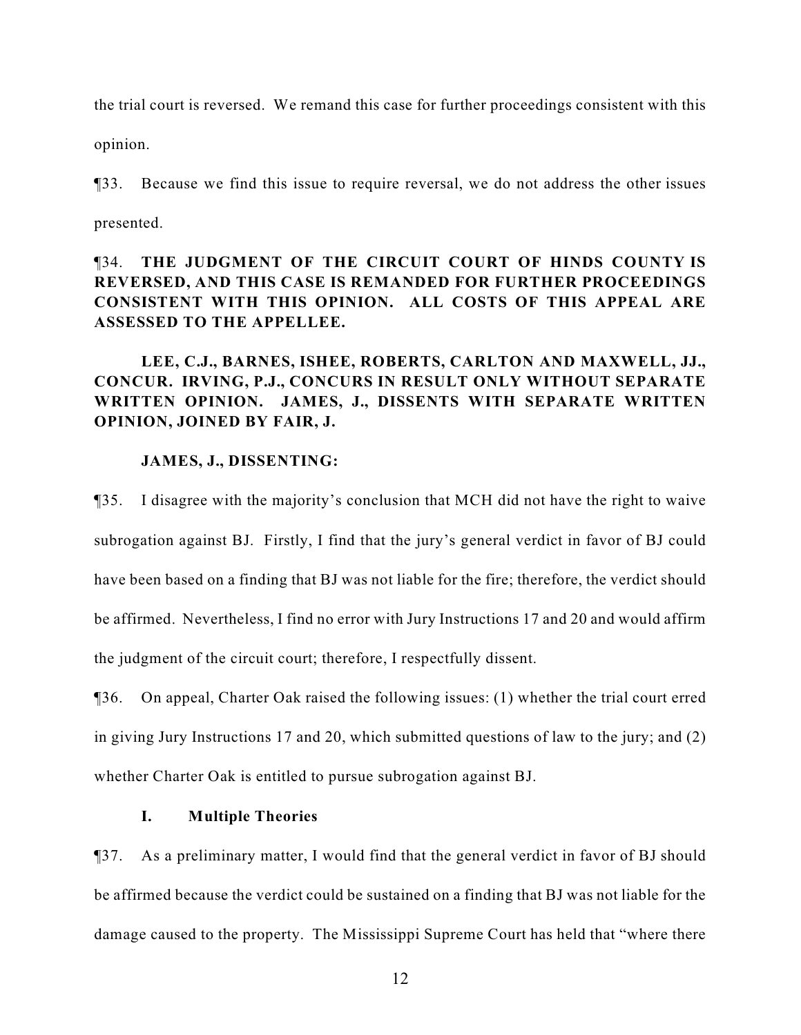the trial court is reversed. We remand this case for further proceedings consistent with this

opinion.

¶33. Because we find this issue to require reversal, we do not address the other issues

presented.

# ¶34. **THE JUDGMENT OF THE CIRCUIT COURT OF HINDS COUNTY IS REVERSED, AND THIS CASE IS REMANDED FOR FURTHER PROCEEDINGS CONSISTENT WITH THIS OPINION. ALL COSTS OF THIS APPEAL ARE ASSESSED TO THE APPELLEE.**

**LEE, C.J., BARNES, ISHEE, ROBERTS, CARLTON AND MAXWELL, JJ., CONCUR. IRVING, P.J., CONCURS IN RESULT ONLY WITHOUT SEPARATE WRITTEN OPINION. JAMES, J., DISSENTS WITH SEPARATE WRITTEN OPINION, JOINED BY FAIR, J.**

# **JAMES, J., DISSENTING:**

¶35. I disagree with the majority's conclusion that MCH did not have the right to waive subrogation against BJ. Firstly, I find that the jury's general verdict in favor of BJ could have been based on a finding that BJ was not liable for the fire; therefore, the verdict should be affirmed. Nevertheless, I find no error with Jury Instructions 17 and 20 and would affirm the judgment of the circuit court; therefore, I respectfully dissent.

¶36. On appeal, Charter Oak raised the following issues: (1) whether the trial court erred in giving Jury Instructions 17 and 20, which submitted questions of law to the jury; and (2) whether Charter Oak is entitled to pursue subrogation against BJ.

# **I. Multiple Theories**

¶37. As a preliminary matter, I would find that the general verdict in favor of BJ should be affirmed because the verdict could be sustained on a finding that BJ was not liable for the damage caused to the property. The Mississippi Supreme Court has held that "where there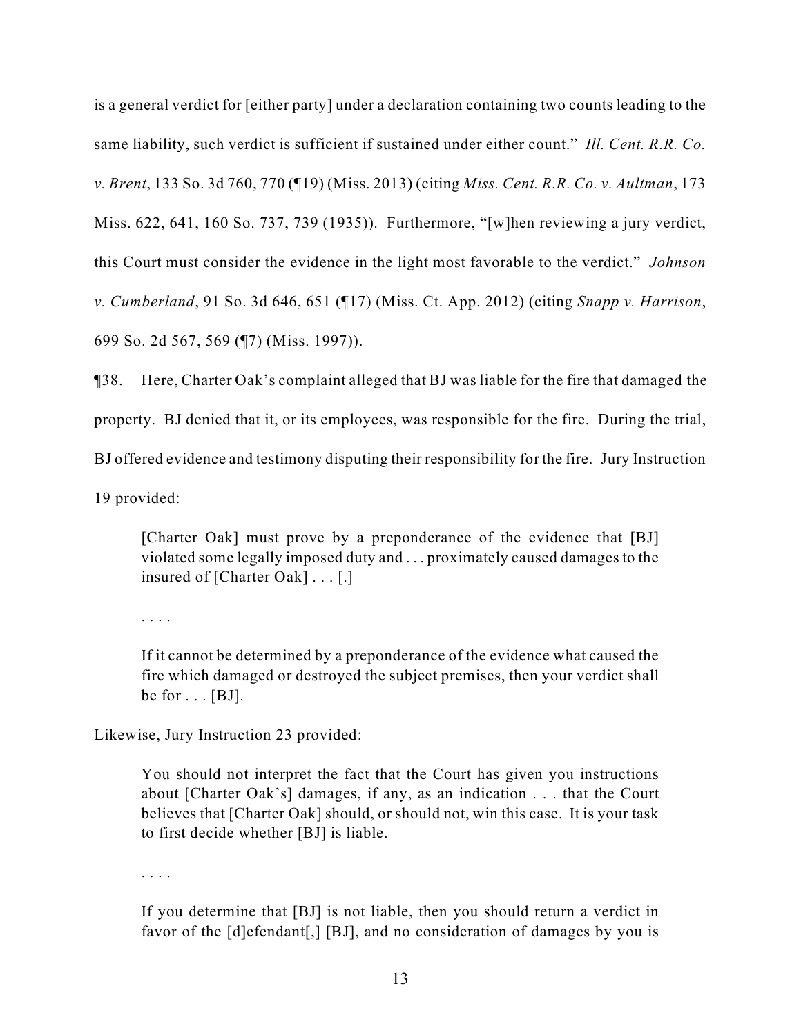is a general verdict for [either party] under a declaration containing two counts leading to the same liability, such verdict is sufficient if sustained under either count." *Ill. Cent. R.R. Co. v. Brent*, 133 So. 3d 760, 770 (¶19) (Miss. 2013) (citing *Miss. Cent. R.R. Co. v. Aultman*, 173 Miss. 622, 641, 160 So. 737, 739 (1935)). Furthermore, "[w]hen reviewing a jury verdict, this Court must consider the evidence in the light most favorable to the verdict." *Johnson v. Cumberland*, 91 So. 3d 646, 651 (¶17) (Miss. Ct. App. 2012) (citing *Snapp v. Harrison*, 699 So. 2d 567, 569 (¶7) (Miss. 1997)).

¶38. Here, Charter Oak's complaint alleged that BJ was liable for the fire that damaged the property. BJ denied that it, or its employees, was responsible for the fire. During the trial, BJ offered evidence and testimony disputing their responsibility for the fire. Jury Instruction 19 provided:

[Charter Oak] must prove by a preponderance of the evidence that [BJ] violated some legally imposed duty and . . . proximately caused damages to the insured of [Charter Oak] . . . [.]

. . . .

If it cannot be determined by a preponderance of the evidence what caused the fire which damaged or destroyed the subject premises, then your verdict shall be for  $\ldots$  [BJ].

Likewise, Jury Instruction 23 provided:

You should not interpret the fact that the Court has given you instructions about [Charter Oak's] damages, if any, as an indication . . . that the Court believes that [Charter Oak] should, or should not, win this case. It is your task to first decide whether [BJ] is liable.

. . . .

If you determine that [BJ] is not liable, then you should return a verdict in favor of the [d]efendant[,] [BJ], and no consideration of damages by you is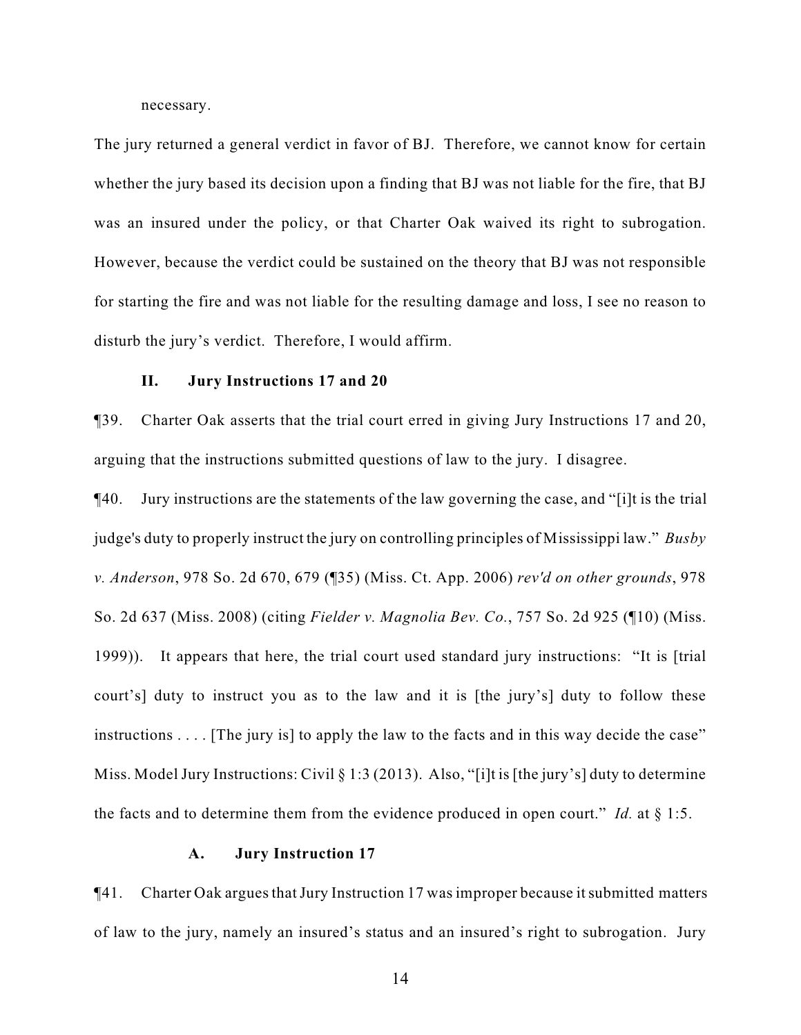necessary.

The jury returned a general verdict in favor of BJ. Therefore, we cannot know for certain whether the jury based its decision upon a finding that BJ was not liable for the fire, that BJ was an insured under the policy, or that Charter Oak waived its right to subrogation. However, because the verdict could be sustained on the theory that BJ was not responsible for starting the fire and was not liable for the resulting damage and loss, I see no reason to disturb the jury's verdict. Therefore, I would affirm.

### **II. Jury Instructions 17 and 20**

¶39. Charter Oak asserts that the trial court erred in giving Jury Instructions 17 and 20, arguing that the instructions submitted questions of law to the jury. I disagree.

¶40. Jury instructions are the statements of the law governing the case, and "[i]t is the trial judge's duty to properly instruct the jury on controlling principles of Mississippi law." *Busby v. Anderson*, 978 So. 2d 670, 679 (¶35) (Miss. Ct. App. 2006) *rev'd on other grounds*, 978 So. 2d 637 (Miss. 2008) (citing *Fielder v. Magnolia Bev. Co.*, 757 So. 2d 925 (¶10) (Miss. 1999)). It appears that here, the trial court used standard jury instructions: "It is [trial court's] duty to instruct you as to the law and it is [the jury's] duty to follow these instructions  $\ldots$  [The jury is] to apply the law to the facts and in this way decide the case" Miss. Model Jury Instructions: Civil § 1:3 (2013). Also, "[i]t is [the jury's] duty to determine the facts and to determine them from the evidence produced in open court." *Id.* at § 1:5.

#### **A. Jury Instruction 17**

¶41. Charter Oak argues that Jury Instruction 17 was improper because it submitted matters of law to the jury, namely an insured's status and an insured's right to subrogation. Jury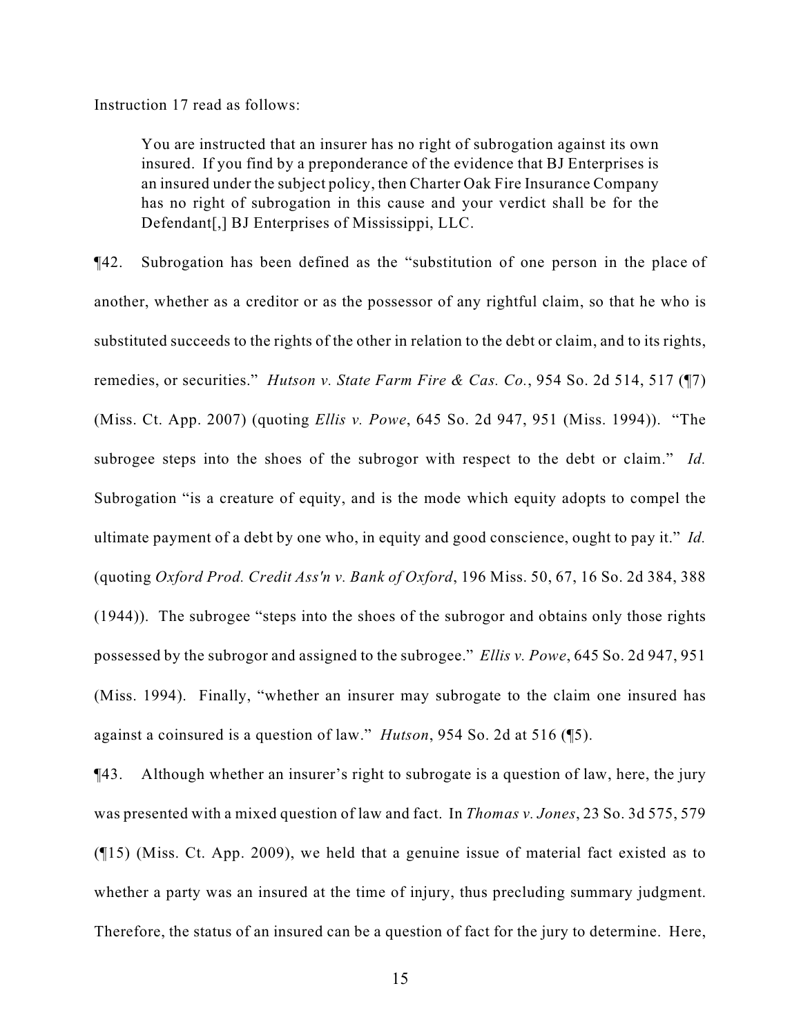Instruction 17 read as follows:

You are instructed that an insurer has no right of subrogation against its own insured. If you find by a preponderance of the evidence that BJ Enterprises is an insured under the subject policy, then Charter Oak Fire Insurance Company has no right of subrogation in this cause and your verdict shall be for the Defendant[,] BJ Enterprises of Mississippi, LLC.

¶42. Subrogation has been defined as the "substitution of one person in the place of another, whether as a creditor or as the possessor of any rightful claim, so that he who is substituted succeeds to the rights of the other in relation to the debt or claim, and to its rights, remedies, or securities." *Hutson v. State Farm Fire & Cas. Co.*, 954 So. 2d 514, 517 (¶7) (Miss. Ct. App. 2007) (quoting *Ellis v. Powe*, 645 So. 2d 947, 951 (Miss. 1994)). "The subrogee steps into the shoes of the subrogor with respect to the debt or claim." *Id.* Subrogation "is a creature of equity, and is the mode which equity adopts to compel the ultimate payment of a debt by one who, in equity and good conscience, ought to pay it." *Id.* (quoting *Oxford Prod. Credit Ass'n v. Bank of Oxford*, 196 Miss. 50, 67, 16 So. 2d 384, 388 (1944)). The subrogee "steps into the shoes of the subrogor and obtains only those rights possessed by the subrogor and assigned to the subrogee." *Ellis v. Powe*, 645 So. 2d 947, 951 (Miss. 1994). Finally, "whether an insurer may subrogate to the claim one insured has against a coinsured is a question of law." *Hutson*, 954 So. 2d at 516 (¶5).

¶43. Although whether an insurer's right to subrogate is a question of law, here, the jury was presented with a mixed question of law and fact. In *Thomas v. Jones*, 23 So. 3d 575, 579 (¶15) (Miss. Ct. App. 2009), we held that a genuine issue of material fact existed as to whether a party was an insured at the time of injury, thus precluding summary judgment. Therefore, the status of an insured can be a question of fact for the jury to determine. Here,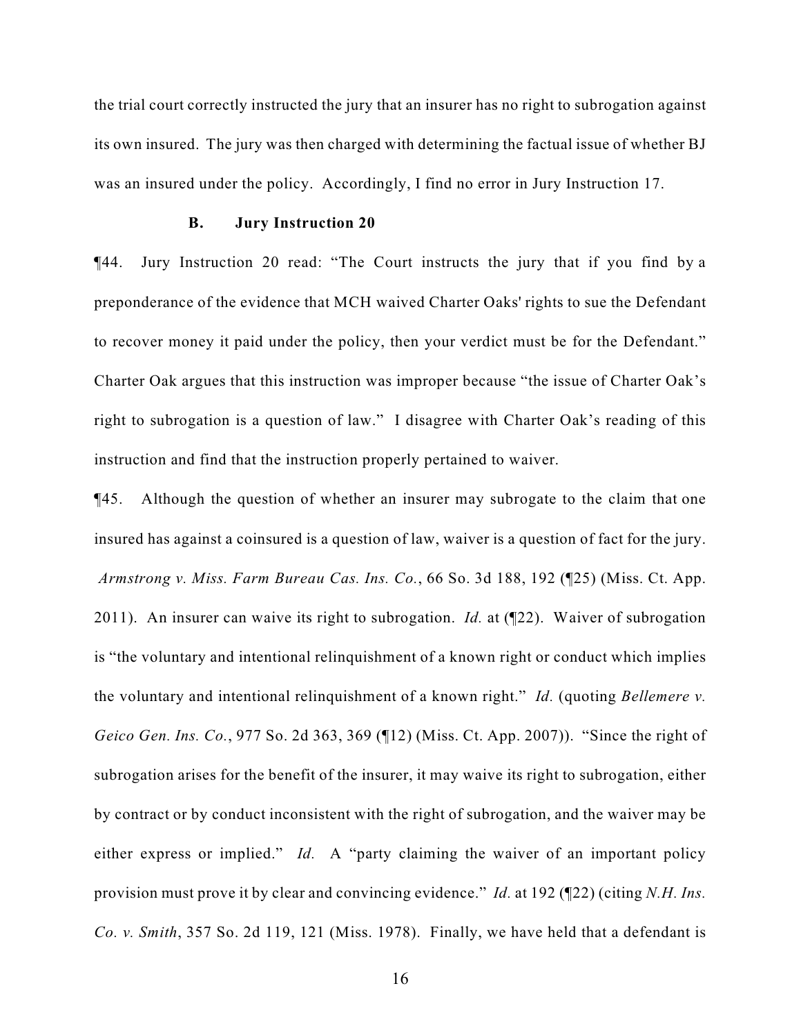the trial court correctly instructed the jury that an insurer has no right to subrogation against its own insured. The jury was then charged with determining the factual issue of whether BJ was an insured under the policy. Accordingly, I find no error in Jury Instruction 17.

# **B. Jury Instruction 20**

¶44. Jury Instruction 20 read: "The Court instructs the jury that if you find by a preponderance of the evidence that MCH waived Charter Oaks' rights to sue the Defendant to recover money it paid under the policy, then your verdict must be for the Defendant." Charter Oak argues that this instruction was improper because "the issue of Charter Oak's right to subrogation is a question of law." I disagree with Charter Oak's reading of this instruction and find that the instruction properly pertained to waiver.

¶45. Although the question of whether an insurer may subrogate to the claim that one insured has against a coinsured is a question of law, waiver is a question of fact for the jury.  *Armstrong v. Miss. Farm Bureau Cas. Ins. Co.*, 66 So. 3d 188, 192 (¶25) (Miss. Ct. App. 2011). An insurer can waive its right to subrogation. *Id.* at (¶22). Waiver of subrogation is "the voluntary and intentional relinquishment of a known right or conduct which implies the voluntary and intentional relinquishment of a known right." *Id.* (quoting *Bellemere v. Geico Gen. Ins. Co.*, 977 So. 2d 363, 369 (¶12) (Miss. Ct. App. 2007)). "Since the right of subrogation arises for the benefit of the insurer, it may waive its right to subrogation, either by contract or by conduct inconsistent with the right of subrogation, and the waiver may be either express or implied." *Id.* A "party claiming the waiver of an important policy provision must prove it by clear and convincing evidence." *Id.* at 192 (¶22) (citing *N.H. Ins. Co. v. Smith*, 357 So. 2d 119, 121 (Miss. 1978). Finally, we have held that a defendant is